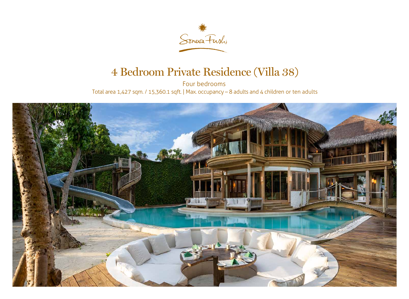

## 4 Bedroom Private Residence (Villa 38)

Four bedrooms Total area 1,427 sqm. / 15,360.1 sqft. | Max. occupancy – 8 adults and 4 children or ten adults

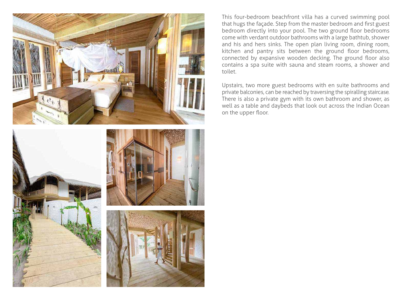





This four-bedroom beachfront villa has a curved swimming pool that hugs the façade. Step from the master bedroom and first guest bedroom directly into your pool. The two ground floor bedrooms come with verdant outdoor bathrooms with a large bathtub, shower and his and hers sinks. The open plan living room, dining room, kitchen and pantry sits between the ground floor bedrooms, connected by expansive wooden decking. The ground floor also contains a spa suite with sauna and steam rooms, a shower and toilet.

Upstairs, two more guest bedrooms with en suite bathrooms and private balconies, can be reached by traversing the spiralling staircase. There is also a private gym with its own bathroom and shower, as well as a table and daybeds that look out across the Indian Ocean on the upper floor.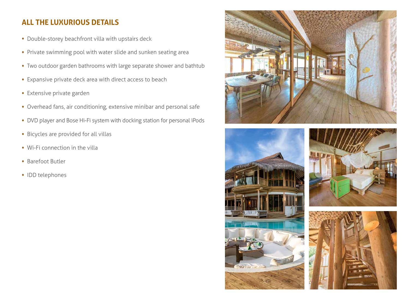## **ALL THE LUXURIOUS DETAILS**

- Double-storey beachfront villa with upstairs deck
- Private swimming pool with water slide and sunken seating area
- Two outdoor garden bathrooms with large separate shower and bathtub
- Expansive private deck area with direct access to beach
- Extensive private garden
- Overhead fans, air conditioning, extensive minibar and personal safe
- DVD player and Bose Hi-Fi system with docking station for personal iPods
- Bicycles are provided for all villas
- Wi-Fi connection in the villa
- Barefoot Butler
- IDD telephones







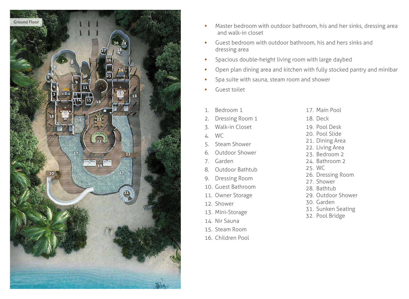- Master bedroom with outdoor bathroom, his and her sinks, dressing area and walk-in closet
- Guest bed room with outdoor bath room, his and he rs sinks and dressing area
- Spacious double-height living room with large daybed
- Open plan dining area and kitchen with fully stocked pantry and minibar
- Spa suite with sauna, steam room and shower
- Guest toilet

Main Pool )eck Pool Desk Pool Slide 21. Dining Area Living A rea 23. Bed room 2 24. Bath room 2 W C Dressing Room 27. Sh o wer 3athtub 29. Outdoor Sh o wer 30. Ga rden 31. Sun ken Seating Pool Brid g e

- 15. Steam Room
- 16. Child ren Pool

| 1. | Bedroom 1             | 17. N                |
|----|-----------------------|----------------------|
| 2. | Dressing Room 1       | 18. D                |
| 3. | Walk-in Closet        | 19. P                |
| 4. | <b>WC</b>             | 20. P                |
|    | 5. Steam Shower       | 21. D<br>22. L       |
| 6. | <b>Outdoor Shower</b> | 23. B                |
|    | 7. Garden             | 24. B                |
| 8. | Outdoor Bathtub       | 25. V                |
| 9. | <b>Dressing Room</b>  | $26.$ $\Box$<br>27.5 |
|    | 10. Guest Bathroom    | 28. B                |
|    | 11. Owner Storage     | 29. C                |
|    | 12. Shower            | 30. C                |
|    | 13. Mini-Storage      | 31. S                |
|    | 14. Nir Sauna         | 32. P                |
|    |                       |                      |